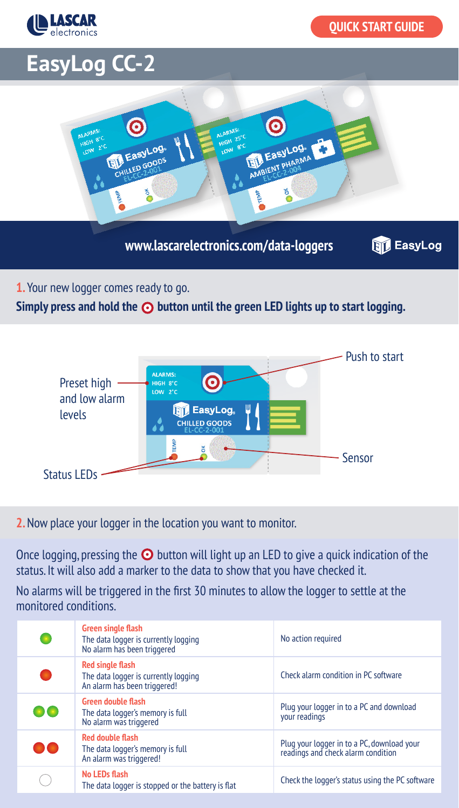

## **EasyLog CC-2**



**www.lascarelectronics.com/data-loggers**

**B** EasyLog

**1.** Your new logger comes ready to go.

Simply press and hold the  $\odot$  button until the green LED lights up to start logging.



**2.** Now place your logger in the location you want to monitor.

Once logging, pressing the  $\odot$  button will light up an LED to give a quick indication of the status. It will also add a marker to the data to show that you have checked it.

No alarms will be triggered in the first 30 minutes to allow the logger to settle at the monitored conditions.

| <b>Green single flash</b><br>The data logger is currently logging<br>No alarm has been triggered | No action required                                                               |
|--------------------------------------------------------------------------------------------------|----------------------------------------------------------------------------------|
| <b>Red single flash</b><br>The data logger is currently logging<br>An alarm has been triggered!  | Check alarm condition in PC software                                             |
| <b>Green double flash</b><br>The data logger's memory is full<br>No alarm was triggered          | Plug your logger in to a PC and download<br>vour readings                        |
| <b>Red double flash</b><br>The data logger's memory is full<br>An alarm was triggered!           | Plug your logger in to a PC, download your<br>readings and check alarm condition |
| No LEDs flash<br>The data logger is stopped or the battery is flat                               | Check the logger's status using the PC software                                  |